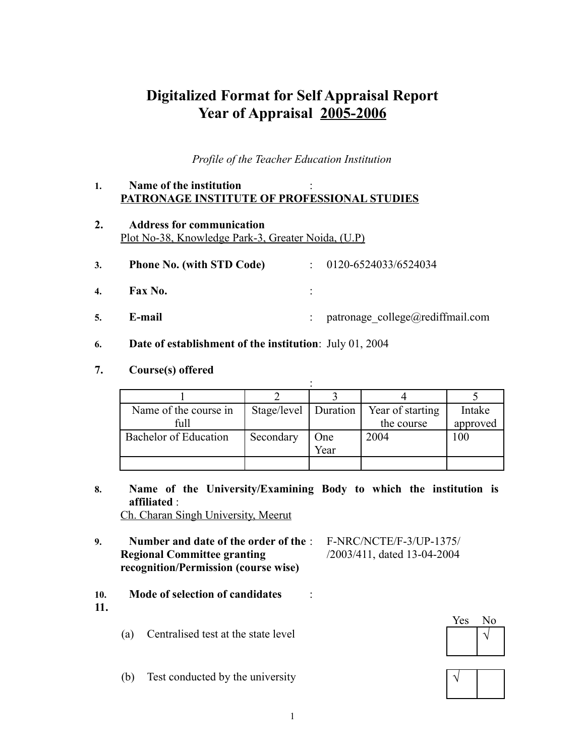# **Digitalized Format for Self Appraisal Report Year of Appraisal 2005-2006**

*Profile of the Teacher Education Institution*

### **1. Name of the institution** : **PATRONAGE INSTITUTE OF PROFESSIONAL STUDIES**

**2. Address for communication** Plot No-38, Knowledge Park-3, Greater Noida, (U.P)

|  | <b>Phone No. (with STD Code)</b> |  | 0120-6524033/6524034 |
|--|----------------------------------|--|----------------------|
|--|----------------------------------|--|----------------------|

- **4. Fax No.** :
- **5. E-mail** : patronage college@rediffmail.com
- **6. Date of establishment of the institution**: July 01, 2004
- **7. Course(s) offered**

| Name of the course in | Stage/level   Duration |      | Year of starting | Intake   |
|-----------------------|------------------------|------|------------------|----------|
| full                  |                        |      | the course       | approved |
| Bachelor of Education | Secondary              | One  | 2004             | 100      |
|                       |                        | Year |                  |          |
|                       |                        |      |                  |          |

- **8. Name of the University/Examining Body to which the institution is affiliated** : Ch. Charan Singh University, Meerut
- **9. Number and date of the order of the** : F-NRC/NCTE/F-3/UP-1375/ **Regional Committee granting** /2003/411, dated 13-04-2004 **recognition/Permission (course wise)**
- 
- **10. Mode of selection of candidates** :
- **11.**
- (a) Centralised test at the state level  $\vert \sqrt{2} \vert$
- (b) Test conducted by the university **√**



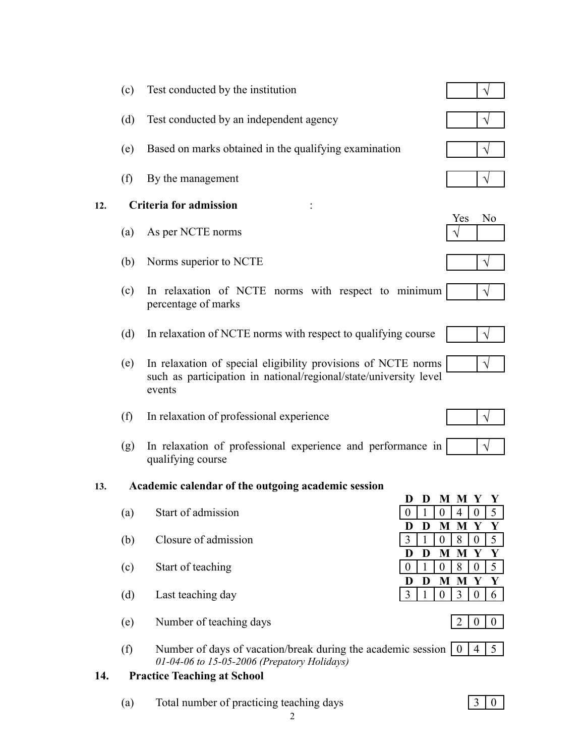- (c) Test conducted by the institution  $\vert \sqrt{\vert}$
- (d) Test conducted by an independent agency  $\vert \psi \rangle$
- (e) Based on marks obtained in the qualifying examination  $\vert \psi \rangle$
- $(f)$  By the management

### **12. Criteria for admission** :

- (a) As per NCTE norms
- $(b)$  Norms superior to NCTE
- (c) In relaxation of NCTE norms with respect to minimum percentage of marks
- (d) In relaxation of NCTE norms with respect to qualifying course
- (e) In relaxation of special eligibility provisions of NCTE norms such as participation in national/regional/state/university level events
- $(f)$  In relaxation of professional experience
- (g) In relaxation of professional experience and performance in qualifying course

#### **13. Academic calendar of the outgoing academic session**

- $(a)$  Start of admission
- $(b)$  Closure of admission
- $(c)$  Start of teaching
- $(d)$  Last teaching day
- (e) Number of teaching days  $\begin{bmatrix} 2 & 0 & 0 \end{bmatrix}$
- (f) Number of days of vacation/break during the academic session  $\begin{bmatrix} 0 \end{bmatrix}$ *01-04-06 to 15-05-2006 (Prepatory Holidays)*  $|4|5$

### **14. Practice Teaching at School**

(a) Total number of practicing teaching days 3 0













|    |                 | M M Y          |                | $\overline{\mathbf{Y}}$ |
|----|-----------------|----------------|----------------|-------------------------|
|    | $\overline{0}$  | $\overline{4}$ | $\overline{0}$ | 5                       |
| D  | M               | M              | V              | Y                       |
|    | $\bf{0}$        | $8 \mid 0$     |                | 5.                      |
|    |                 |                |                |                         |
| D  | M               | M              | Y              | V.                      |
|    | $\vert 0 \vert$ | $8 \mid 0$     |                | 5.                      |
| D. | M               | M              | V              | V.                      |



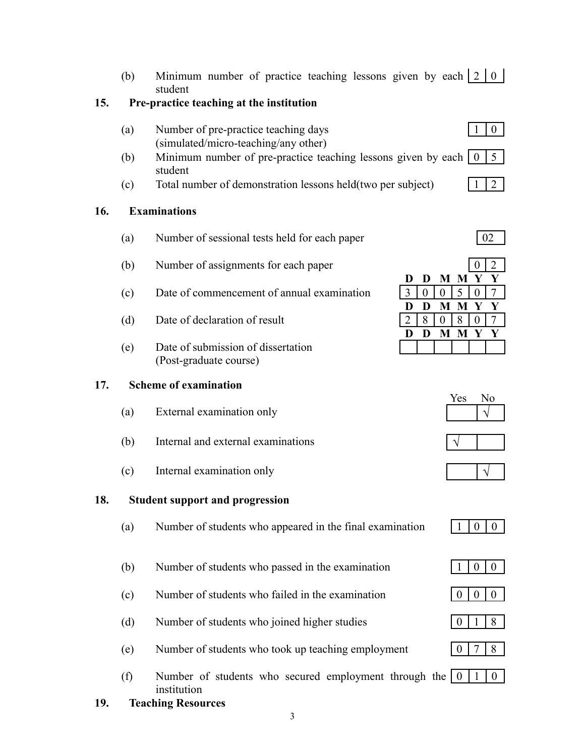(b) Minimum number of practice teaching lessons given by each  $2 \mid 0$ student

### **15. Pre-practice teaching at the institution**

- (a) Number of pre-practice teaching days (simulated/micro-teaching/any other)
- (b) Minimum number of pre-practice teaching lessons given by each  $\begin{pmatrix} 0 & 5 \end{pmatrix}$ student
- (c) Total number of demonstration lessons held(two per subject) 1 2

## **16. Examinations**

- (a) Number of sessional tests held for each paper  $\vert$  02
- $(b)$  Number of assignments for each paper
- $(c)$  Date of commencement of annual examination
- (d) Date of declaration of result
- (e) Date of submission of dissertation (Post-graduate course)

## **17. Scheme of examination**

- $(a)$  External examination only
- $(b)$  Internal and external examinations
- (c) Internal examination only  $\vert \psi \vert$

## **18. Student support and progression**

- (a) Number of students who appeared in the final examination 1 0 0
- (b) Number of students who passed in the examination  $1 \mid 0 \mid 0$
- (c) Number of students who failed in the examination  $\begin{bmatrix} 0 & 0 & 0 \end{bmatrix}$
- (d) Number of students who joined higher studies 0 1 8
- (e) Number of students who took up teaching employment  $\begin{bmatrix} 0 & 7 & 8 \end{bmatrix}$
- (f) Number of students who secured employment through the  $\begin{pmatrix} 0 & 1 & 0 \\ 1 & 0 & 0 \\ 0 & 0 & 0 \\ 0 & 0 & 0 \\ 0 & 0 & 0 \\ 0 & 0 & 0 \\ 0 & 0 & 0 \\ 0 & 0 & 0 \\ 0 & 0 & 0 \\ 0 & 0 & 0 \\ 0 & 0 & 0 \\ 0 & 0 & 0 \\ 0 & 0 & 0 \\ 0 & 0 & 0 \\ 0 & 0 & 0 & 0 \\ 0 & 0 & 0 & 0 \\ 0 & 0 &$ institution

3

**19. Teaching Resources**

|   |          |   | $\theta$ | 2                                |
|---|----------|---|----------|----------------------------------|
| D |          |   |          | V                                |
|   | $\theta$ |   |          |                                  |
|   |          |   |          | V                                |
| 8 |          |   |          |                                  |
|   |          | M | V        |                                  |
|   |          |   |          |                                  |
|   |          |   | I 5<br>M | M M Y<br>M M Y<br>8 <sup>1</sup> |

| Yes | 0 |
|-----|---|
|     |   |













 $1 \mid 0 \mid$ 

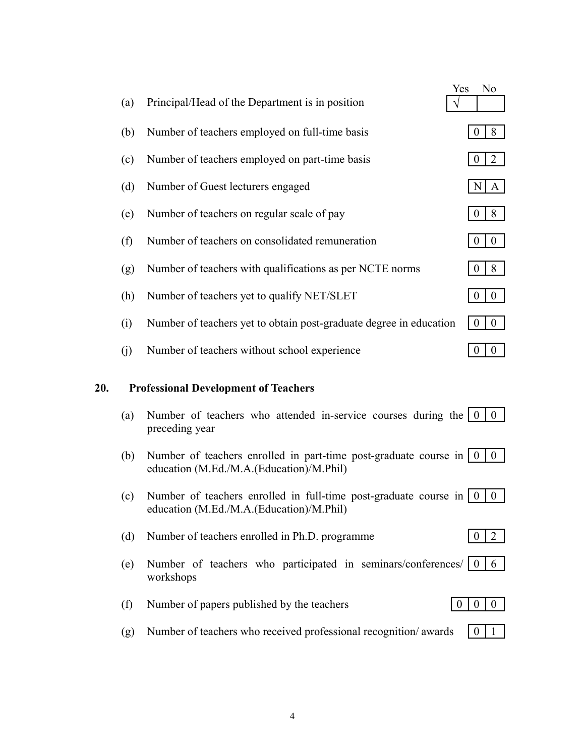|     |     |                                                                                                                                | Yes              |                  | N <sub>o</sub>   |
|-----|-----|--------------------------------------------------------------------------------------------------------------------------------|------------------|------------------|------------------|
|     | (a) | Principal/Head of the Department is in position                                                                                |                  |                  |                  |
|     | (b) | Number of teachers employed on full-time basis                                                                                 |                  | $\overline{0}$   | 8                |
|     | (c) | Number of teachers employed on part-time basis                                                                                 |                  | $\theta$         | $\overline{2}$   |
|     | (d) | Number of Guest lecturers engaged                                                                                              |                  | N                | A                |
|     | (e) | Number of teachers on regular scale of pay                                                                                     |                  | $\overline{0}$   | 8                |
|     | (f) | Number of teachers on consolidated remuneration                                                                                |                  | $\theta$         | $\boldsymbol{0}$ |
|     | (g) | Number of teachers with qualifications as per NCTE norms                                                                       |                  | $\theta$         | 8                |
|     | (h) | Number of teachers yet to qualify NET/SLET                                                                                     |                  | $\overline{0}$   | $\boldsymbol{0}$ |
|     | (i) | Number of teachers yet to obtain post-graduate degree in education                                                             |                  | $\boldsymbol{0}$ | $\boldsymbol{0}$ |
|     | (j) | Number of teachers without school experience                                                                                   |                  | $\boldsymbol{0}$ | $\boldsymbol{0}$ |
| 20. |     | <b>Professional Development of Teachers</b>                                                                                    |                  |                  |                  |
|     |     |                                                                                                                                |                  |                  |                  |
|     | (a) | Number of teachers who attended in-service courses during the $\begin{pmatrix} 0 & 0 \\ 0 & 0 \end{pmatrix}$<br>preceding year |                  |                  |                  |
|     | (b) | Number of teachers enrolled in part-time post-graduate course in $\vert 0 \rangle$<br>education (M.Ed./M.A.(Education)/M.Phil) |                  |                  | $\overline{0}$   |
|     |     |                                                                                                                                |                  |                  |                  |
|     | (c) | Number of teachers enrolled in full-time post-graduate course in $\vert 0 \rangle$<br>education (M.Ed./M.A.(Education)/M.Phil) |                  |                  | $\boldsymbol{0}$ |
|     |     |                                                                                                                                |                  |                  |                  |
|     | (d) | Number of teachers enrolled in Ph.D. programme                                                                                 |                  | $\theta$         | 2                |
|     | (e) | Number of teachers who participated in seminars/conferences/ $\begin{bmatrix} 0 \\ 6 \end{bmatrix}$<br>workshops               |                  |                  |                  |
|     |     |                                                                                                                                |                  |                  |                  |
|     | (f) | Number of papers published by the teachers                                                                                     | $\boldsymbol{0}$ | $\boldsymbol{0}$ | $\overline{0}$   |
|     | (g) | Number of teachers who received professional recognition/awards                                                                |                  | $\boldsymbol{0}$ |                  |
|     |     |                                                                                                                                |                  |                  |                  |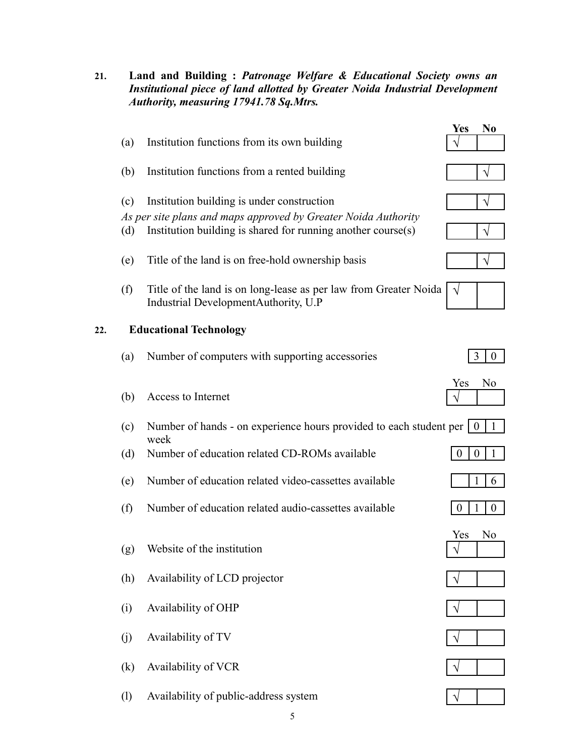**21. Land and Building :** *Patronage Welfare & Educational Society owns an Institutional piece of land allotted by Greater Noida Industrial Development Authority, measuring 17941.78 Sq.Mtrs.*

|     |     |                                                                                                                                | <b>Yes</b>            | N <sub>0</sub>   |
|-----|-----|--------------------------------------------------------------------------------------------------------------------------------|-----------------------|------------------|
|     | (a) | Institution functions from its own building                                                                                    |                       |                  |
|     | (b) | Institution functions from a rented building                                                                                   |                       |                  |
|     | (c) | Institution building is under construction                                                                                     |                       |                  |
|     | (d) | As per site plans and maps approved by Greater Noida Authority<br>Institution building is shared for running another course(s) |                       |                  |
|     | (e) | Title of the land is on free-hold ownership basis                                                                              |                       |                  |
|     | (f) | Title of the land is on long-lease as per law from Greater Noida<br>Industrial DevelopmentAuthority, U.P                       |                       |                  |
| 22. |     | <b>Educational Technology</b>                                                                                                  |                       |                  |
|     | (a) | Number of computers with supporting accessories                                                                                | 3                     | $\boldsymbol{0}$ |
|     | (b) | Access to Internet                                                                                                             | Yes                   | No               |
|     | (c) | Number of hands - on experience hours provided to each student per<br>week                                                     | $\overline{0}$        |                  |
|     | (d) | Number of education related CD-ROMs available                                                                                  | $\boldsymbol{0}$<br>0 |                  |
|     | (e) | Number of education related video-cassettes available                                                                          |                       | 6                |
|     | (f) | Number of education related audio-cassettes available                                                                          | 1<br>$\boldsymbol{0}$ | $\boldsymbol{0}$ |
|     |     | (g) Website of the institution                                                                                                 | Yes                   | N0               |
|     | (h) | Availability of LCD projector                                                                                                  |                       |                  |
|     | (i) | Availability of OHP                                                                                                            |                       |                  |
|     | (j) | Availability of TV                                                                                                             |                       |                  |
|     | (k) | Availability of VCR                                                                                                            |                       |                  |
|     | (1) | Availability of public-address system                                                                                          |                       |                  |









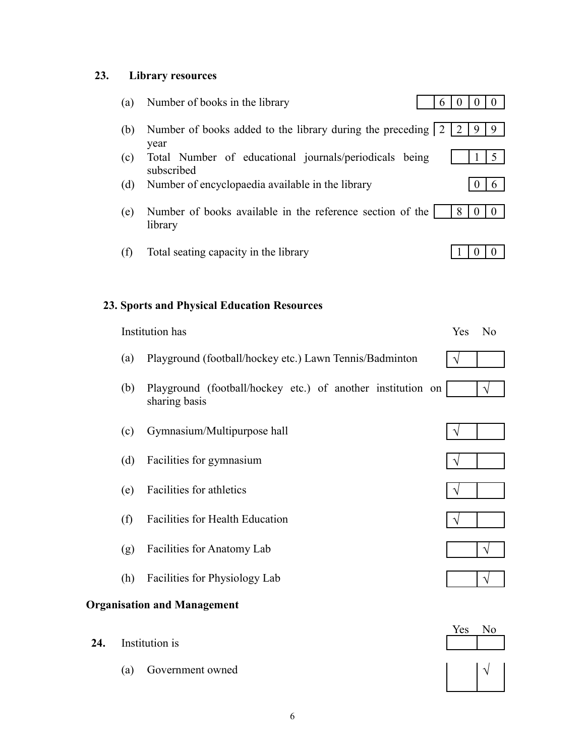## **23. Library resources**

|     | (a) | Number of books in the library<br>6                                          | $\mathbf{0}$ | $\boldsymbol{0}$<br>$\overline{0}$   |
|-----|-----|------------------------------------------------------------------------------|--------------|--------------------------------------|
|     | (b) | Number of books added to the library during the preceding 2<br>year          | 2            | 9<br>9                               |
|     | (c) | Total Number of educational journals/periodicals being<br>subscribed         |              | $5\overline{)}$<br>1                 |
|     | (d) | Number of encyclopaedia available in the library                             |              | $\boldsymbol{0}$<br>6                |
|     | (e) | Number of books available in the reference section of the<br>library         | 8            | $\boldsymbol{0}$<br>$\overline{0}$   |
|     | (f) | Total seating capacity in the library                                        |              | $\boldsymbol{0}$<br>$\boldsymbol{0}$ |
|     |     | <b>23. Sports and Physical Education Resources</b>                           |              |                                      |
|     |     | Institution has                                                              | Yes          | N <sub>0</sub>                       |
|     | (a) | Playground (football/hockey etc.) Lawn Tennis/Badminton                      |              |                                      |
|     | (b) | Playground (football/hockey etc.) of another institution on<br>sharing basis |              |                                      |
|     | (c) | Gymnasium/Multipurpose hall                                                  |              |                                      |
|     | (d) | Facilities for gymnasium                                                     |              |                                      |
|     | (e) | Facilities for athletics                                                     |              |                                      |
|     | (f) | Facilities for Health Education                                              |              |                                      |
|     | (g) | Facilities for Anatomy Lab                                                   |              |                                      |
|     | (h) | Facilities for Physiology Lab                                                |              |                                      |
|     |     | <b>Organisation and Management</b>                                           |              |                                      |
| 24. |     | Institution is                                                               | Yes          | N <sub>0</sub>                       |
|     | (a) | Government owned                                                             |              |                                      |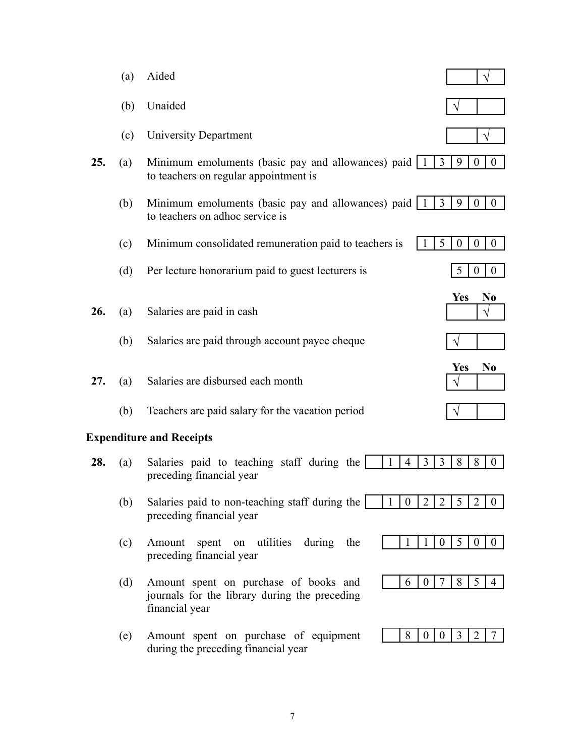|                                 | (a) | Aided                                                                                                                                                                            |  |  |
|---------------------------------|-----|----------------------------------------------------------------------------------------------------------------------------------------------------------------------------------|--|--|
|                                 | (b) | Unaided                                                                                                                                                                          |  |  |
|                                 | (c) | University Department                                                                                                                                                            |  |  |
| 25.                             | (a) | 3<br>9<br>Minimum emoluments (basic pay and allowances) paid   1<br>$\boldsymbol{0}$<br>$\overline{0}$<br>to teachers on regular appointment is                                  |  |  |
|                                 | (b) | $\overline{3}$<br>9<br>$\mathbf{0}$<br>Minimum emoluments (basic pay and allowances) paid<br>$\overline{0}$<br>$\mathbf{1}$<br>to teachers on adhoc service is                   |  |  |
|                                 | (c) | 5<br>$\boldsymbol{0}$<br>$\mathbf{0}$<br>Minimum consolidated remuneration paid to teachers is<br>$\boldsymbol{0}$                                                               |  |  |
|                                 | (d) | 5<br>Per lecture honorarium paid to guest lecturers is<br>$\overline{0}$<br>$\mathbf{0}$                                                                                         |  |  |
| 26.                             | (a) | <b>Yes</b><br>No<br>Salaries are paid in cash                                                                                                                                    |  |  |
|                                 | (b) | Salaries are paid through account payee cheque                                                                                                                                   |  |  |
| 27.                             | (a) | N <sub>0</sub><br><b>Yes</b><br>Salaries are disbursed each month                                                                                                                |  |  |
|                                 | (b) | Teachers are paid salary for the vacation period                                                                                                                                 |  |  |
| <b>Expenditure and Receipts</b> |     |                                                                                                                                                                                  |  |  |
| 28.                             | (a) | 3<br>8<br>Salaries paid to teaching staff during the<br>1<br>$\overline{4}$<br>3<br>8<br>$\boldsymbol{0}$<br>preceding financial year                                            |  |  |
|                                 | (b) | Salaries paid to non-teaching staff during the<br>$\overline{2}$<br>$\overline{2}$<br>$\overline{2}$<br>5<br>1<br>$\boldsymbol{0}$<br>$\overline{0}$<br>preceding financial year |  |  |
|                                 | (c) | 5<br>during<br>1<br>$\mathbf{0}$<br>$\overline{0}$<br>Amount<br>spent on utilities<br>$\overline{0}$<br>the<br>preceding financial year                                          |  |  |
|                                 | (d) | 5<br>7<br>8<br>Amount spent on purchase of books and<br>6<br>$\boldsymbol{0}$<br>4<br>journals for the library during the preceding<br>financial year                            |  |  |
|                                 | (e) | Amount spent on purchase of equipment<br>8<br>3<br>$\overline{0}$<br>2<br>$\theta$<br>during the preceding financial year                                                        |  |  |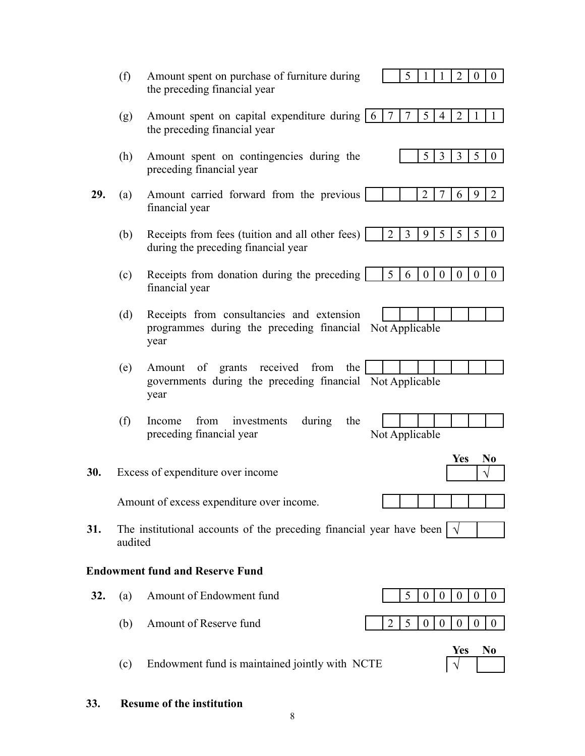|                                        | (f)                                                                             | Amount spent on purchase of furniture during<br>5<br>2<br>$\boldsymbol{0}$<br>$\overline{0}$<br>the preceding financial year                                        |  |  |
|----------------------------------------|---------------------------------------------------------------------------------|---------------------------------------------------------------------------------------------------------------------------------------------------------------------|--|--|
|                                        | (g)                                                                             | 5<br>$\overline{7}$<br>7<br>$\overline{2}$<br>Amount spent on capital expenditure during 6<br>$\overline{4}$<br>the preceding financial year                        |  |  |
|                                        | (h)                                                                             | 5<br>3<br>3<br>5<br>$\overline{0}$<br>Amount spent on contingencies during the<br>preceding financial year                                                          |  |  |
| 29.                                    | (a)                                                                             | $\overline{2}$<br>$\overline{2}$<br>Amount carried forward from the previous<br>9<br>6<br>financial year                                                            |  |  |
|                                        | (b)                                                                             | $\overline{3}$<br>5<br>$\overline{2}$<br>9<br>5<br>5<br>Receipts from fees (tuition and all other fees)<br>$\mathbf{0}$<br>during the preceding financial year      |  |  |
|                                        | (c)                                                                             | 5<br>$\boldsymbol{0}$<br>Receipts from donation during the preceding<br>$\boldsymbol{0}$<br>$\overline{0}$<br>6<br>$\mathbf{0}$<br>$\overline{0}$<br>financial year |  |  |
|                                        | (d)                                                                             | Receipts from consultancies and extension                                                                                                                           |  |  |
|                                        |                                                                                 | programmes during the preceding financial<br>Not Applicable<br>year                                                                                                 |  |  |
|                                        | (e)                                                                             | grants received from<br>of<br>the<br>Amount<br>governments during the preceding financial Not Applicable<br>year                                                    |  |  |
|                                        | (f)                                                                             | from<br>during<br>investments<br>the<br>Income<br>Not Applicable<br>preceding financial year                                                                        |  |  |
| 30.                                    |                                                                                 | Yes<br>N0<br>Excess of expenditure over income                                                                                                                      |  |  |
|                                        |                                                                                 | Amount of excess expenditure over income.                                                                                                                           |  |  |
| 31.                                    | The institutional accounts of the preceding financial year have been<br>audited |                                                                                                                                                                     |  |  |
| <b>Endowment fund and Reserve Fund</b> |                                                                                 |                                                                                                                                                                     |  |  |
| 32.                                    | (a)                                                                             | Amount of Endowment fund<br>5<br>$\boldsymbol{0}$<br>$\boldsymbol{0}$<br>$\boldsymbol{0}$<br>$\boldsymbol{0}$<br>$\boldsymbol{0}$                                   |  |  |
|                                        | (b)                                                                             | Amount of Reserve fund<br>5<br>2<br>$\boldsymbol{0}$<br>$\boldsymbol{0}$<br>$\boldsymbol{0}$<br>$\boldsymbol{0}$<br>$\theta$                                        |  |  |
|                                        | (c)                                                                             | N <sub>0</sub><br>Yes<br>Endowment fund is maintained jointly with NCTE                                                                                             |  |  |

**33. Resume of the institution**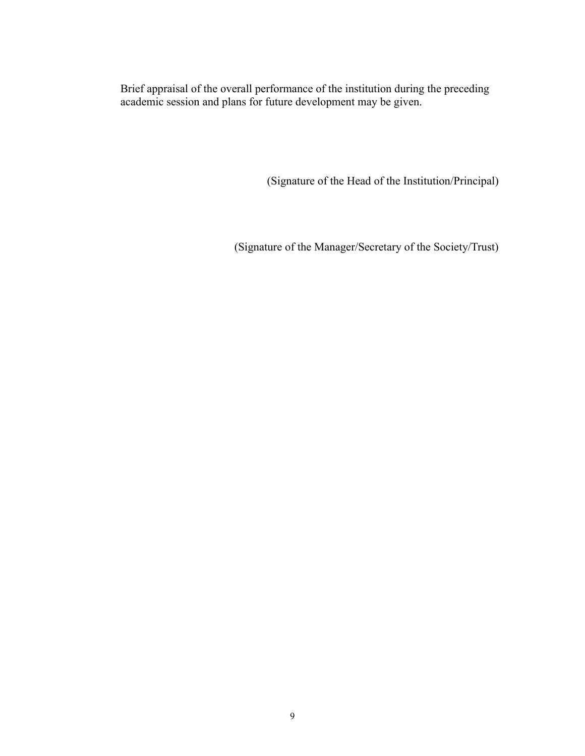Brief appraisal of the overall performance of the institution during the preceding academic session and plans for future development may be given.

(Signature of the Head of the Institution/Principal)

(Signature of the Manager/Secretary of the Society/Trust)